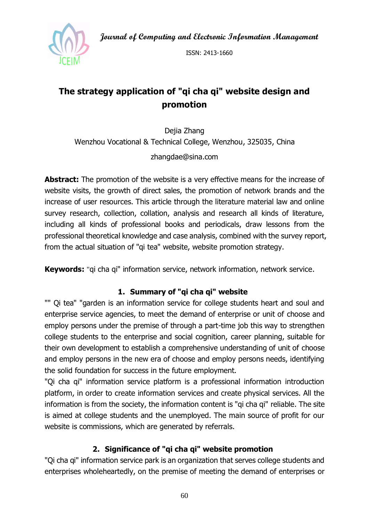**Journal of Computing and Electronic Information Management**



ISSN: 2413-1660

# **The strategy application of "qi cha qi" website design and promotion**

Dejia Zhang Wenzhou Vocational & Technical College, Wenzhou, 325035, China zhangdae@sina.com

**Abstract:** The promotion of the website is a very effective means for the increase of website visits, the growth of direct sales, the promotion of network brands and the increase of user resources. This article through the literature material law and online survey research, collection, collation, analysis and research all kinds of literature, including all kinds of professional books and periodicals, draw lessons from the professional theoretical knowledge and case analysis, combined with the survey report, from the actual situation of "qi tea" website, website promotion strategy.

**Keywords:** "qi cha qi" information service, network information, network service.

## **1. Summary of "qi cha qi" website**

"" Qi tea" "garden is an information service for college students heart and soul and enterprise service agencies, to meet the demand of enterprise or unit of choose and employ persons under the premise of through a part-time job this way to strengthen college students to the enterprise and social cognition, career planning, suitable for their own development to establish a comprehensive understanding of unit of choose and employ persons in the new era of choose and employ persons needs, identifying the solid foundation for success in the future employment.

"Qi cha qi" information service platform is a professional information introduction platform, in order to create information services and create physical services. All the information is from the society, the information content is "qi cha qi" reliable. The site is aimed at college students and the unemployed. The main source of profit for our website is commissions, which are generated by referrals.

## **2. Significance of "qi cha qi" website promotion**

"Qi cha qi" information service park is an organization that serves college students and enterprises wholeheartedly, on the premise of meeting the demand of enterprises or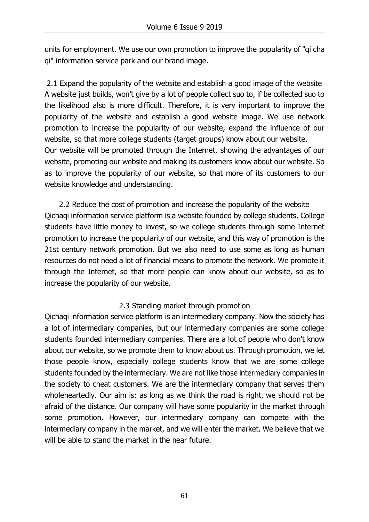units for employment. We use our own promotion to improve the popularity of "qi cha qi" information service park and our brand image.

2.1 Expand the popularity of the website and establish a good image of the website A website just builds, won't give by a lot of people collect suo to, if be collected suo to the likelihood also is more difficult. Therefore, it is very important to improve the popularity of the website and establish a good website image. We use network promotion to increase the popularity of our website, expand the influence of our website, so that more college students (target groups) know about our website. Our website will be promoted through the Internet, showing the advantages of our website, promoting our website and making its customers know about our website. So as to improve the popularity of our website, so that more of its customers to our website knowledge and understanding.

2.2 Reduce the cost of promotion and increase the popularity of the website Qichaqi information service platform is a website founded by college students. College students have little money to invest, so we college students through some Internet promotion to increase the popularity of our website, and this way of promotion is the 21st century network promotion. But we also need to use some as long as human resources do not need a lot of financial means to promote the network. We promote it through the Internet, so that more people can know about our website, so as to increase the popularity of our website.

#### 2.3 Standing market through promotion

Qichaqi information service platform is an intermediary company. Now the society has a lot of intermediary companies, but our intermediary companies are some college students founded intermediary companies. There are a lot of people who don't know about our website, so we promote them to know about us. Through promotion, we let those people know, especially college students know that we are some college students founded by the intermediary. We are not like those intermediary companies in the society to cheat customers. We are the intermediary company that serves them wholeheartedly. Our aim is: as long as we think the road is right, we should not be afraid of the distance. Our company will have some popularity in the market through some promotion. However, our intermediary company can compete with the intermediary company in the market, and we will enter the market. We believe that we will be able to stand the market in the near future.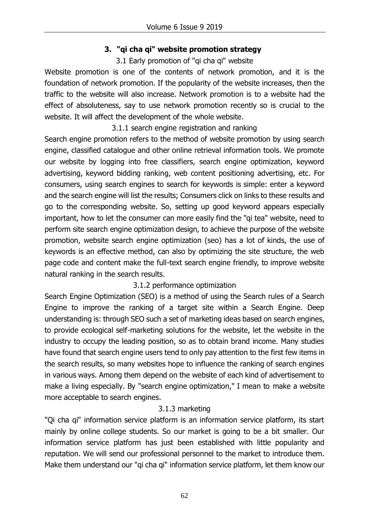## **3. "qi cha qi" website promotion strategy**

#### 3.1 Early promotion of "qi cha qi" website

Website promotion is one of the contents of network promotion, and it is the foundation of network promotion. If the popularity of the website increases, then the traffic to the website will also increase. Network promotion is to a website had the effect of absoluteness, say to use network promotion recently so is crucial to the website. It will affect the development of the whole website.

3.1.1 search engine registration and ranking

Search engine promotion refers to the method of website promotion by using search engine, classified catalogue and other online retrieval information tools. We promote our website by logging into free classifiers, search engine optimization, keyword advertising, keyword bidding ranking, web content positioning advertising, etc. For consumers, using search engines to search for keywords is simple: enter a keyword and the search engine will list the results; Consumers click on links to these results and go to the corresponding website. So, setting up good keyword appears especially important, how to let the consumer can more easily find the "qi tea" website, need to perform site search engine optimization design, to achieve the purpose of the website promotion, website search engine optimization (seo) has a lot of kinds, the use of keywords is an effective method, can also by optimizing the site structure, the web page code and content make the full-text search engine friendly, to improve website natural ranking in the search results.

## 3.1.2 performance optimization

Search Engine Optimization (SEO) is a method of using the Search rules of a Search Engine to improve the ranking of a target site within a Search Engine. Deep understanding is: through SEO such a set of marketing ideas based on search engines, to provide ecological self-marketing solutions for the website, let the website in the industry to occupy the leading position, so as to obtain brand income. Many studies have found that search engine users tend to only pay attention to the first few items in the search results, so many websites hope to influence the ranking of search engines in various ways. Among them depend on the website of each kind of advertisement to make a living especially. By "search engine optimization," I mean to make a website more acceptable to search engines.

# 3.1.3 marketing

"Qi cha qi" information service platform is an information service platform, its start mainly by online college students. So our market is going to be a bit smaller. Our information service platform has just been established with little popularity and reputation. We will send our professional personnel to the market to introduce them. Make them understand our "qi cha qi" information service platform, let them know our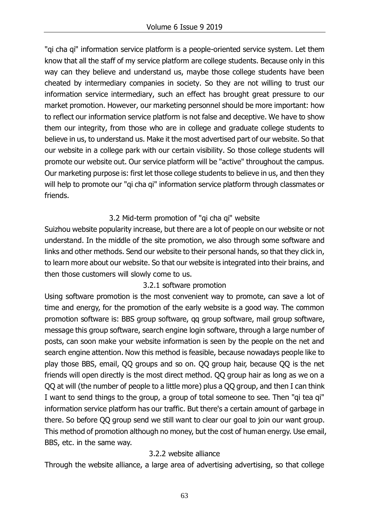"qi cha qi" information service platform is a people-oriented service system. Let them know that all the staff of my service platform are college students. Because only in this way can they believe and understand us, maybe those college students have been cheated by intermediary companies in society. So they are not willing to trust our information service intermediary, such an effect has brought great pressure to our market promotion. However, our marketing personnel should be more important: how to reflect our information service platform is not false and deceptive. We have to show them our integrity, from those who are in college and graduate college students to believe in us, to understand us. Make it the most advertised part of our website. So that our website in a college park with our certain visibility. So those college students will promote our website out. Our service platform will be "active" throughout the campus. Our marketing purpose is: first let those college students to believe in us, and then they will help to promote our "qi cha qi" information service platform through classmates or friends.

#### 3.2 Mid-term promotion of "qi cha qi" website

Suizhou website popularity increase, but there are a lot of people on our website or not understand. In the middle of the site promotion, we also through some software and links and other methods. Send our website to their personal hands, so that they click in, to learn more about our website. So that our website is integrated into their brains, and then those customers will slowly come to us.

## 3.2.1 software promotion

Using software promotion is the most convenient way to promote, can save a lot of time and energy, for the promotion of the early website is a good way. The common promotion software is: BBS group software, qq group software, mail group software, message this group software, search engine login software, through a large number of posts, can soon make your website information is seen by the people on the net and search engine attention. Now this method is feasible, because nowadays people like to play those BBS, email, QQ groups and so on. QQ group hair, because QQ is the net friends will open directly is the most direct method. QQ group hair as long as we on a QQ at will (the number of people to a little more) plus a QQ group, and then I can think I want to send things to the group, a group of total someone to see. Then "qi tea qi" information service platform has our traffic. But there's a certain amount of garbage in there. So before QQ group send we still want to clear our goal to join our want group. This method of promotion although no money, but the cost of human energy. Use email, BBS, etc. in the same way.

## 3.2.2 website alliance

Through the website alliance, a large area of advertising advertising, so that college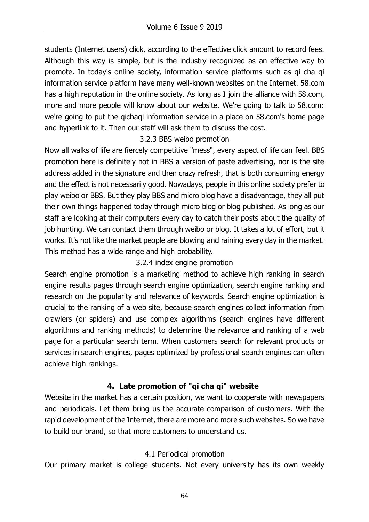students (Internet users) click, according to the effective click amount to record fees. Although this way is simple, but is the industry recognized as an effective way to promote. In today's online society, information service platforms such as qi cha qi information service platform have many well-known websites on the Internet. 58.com has a high reputation in the online society. As long as I join the alliance with 58.com, more and more people will know about our website. We're going to talk to 58.com: we're going to put the qichaqi information service in a place on 58.com's home page and hyperlink to it. Then our staff will ask them to discuss the cost.

#### 3.2.3 BBS weibo promotion

Now all walks of life are fiercely competitive "mess", every aspect of life can feel. BBS promotion here is definitely not in BBS a version of paste advertising, nor is the site address added in the signature and then crazy refresh, that is both consuming energy and the effect is not necessarily good. Nowadays, people in this online society prefer to play weibo or BBS. But they play BBS and micro blog have a disadvantage, they all put their own things happened today through micro blog or blog published. As long as our staff are looking at their computers every day to catch their posts about the quality of job hunting. We can contact them through weibo or blog. It takes a lot of effort, but it works. It's not like the market people are blowing and raining every day in the market. This method has a wide range and high probability.

## 3.2.4 index engine promotion

Search engine promotion is a marketing method to achieve high ranking in search engine results pages through search engine optimization, search engine ranking and research on the popularity and relevance of keywords. Search engine optimization is crucial to the ranking of a web site, because search engines collect information from crawlers (or spiders) and use complex algorithms (search engines have different algorithms and ranking methods) to determine the relevance and ranking of a web page for a particular search term. When customers search for relevant products or services in search engines, pages optimized by professional search engines can often achieve high rankings.

## **4. Late promotion of "qi cha qi" website**

Website in the market has a certain position, we want to cooperate with newspapers and periodicals. Let them bring us the accurate comparison of customers. With the rapid development of the Internet, there are more and more such websites. So we have to build our brand, so that more customers to understand us.

#### 4.1 Periodical promotion

Our primary market is college students. Not every university has its own weekly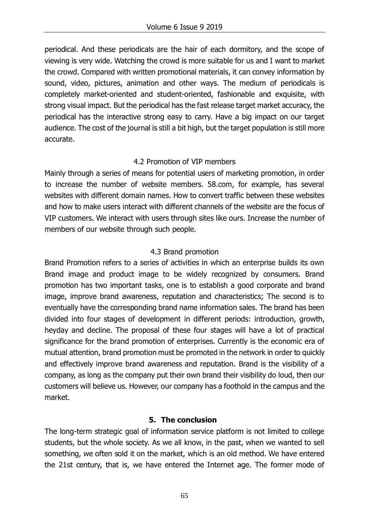periodical. And these periodicals are the hair of each dormitory, and the scope of viewing is very wide. Watching the crowd is more suitable for us and I want to market the crowd. Compared with written promotional materials, it can convey information by sound, video, pictures, animation and other ways. The medium of periodicals is completely market-oriented and student-oriented, fashionable and exquisite, with strong visual impact. But the periodical has the fast release target market accuracy, the periodical has the interactive strong easy to carry. Have a big impact on our target audience. The cost of the journal is still a bit high, but the target population is still more accurate.

#### 4.2 Promotion of VIP members

Mainly through a series of means for potential users of marketing promotion, in order to increase the number of website members. 58.com, for example, has several websites with different domain names. How to convert traffic between these websites and how to make users interact with different channels of the website are the focus of VIP customers. We interact with users through sites like ours. Increase the number of members of our website through such people.

#### 4.3 Brand promotion

Brand Promotion refers to a series of activities in which an enterprise builds its own Brand image and product image to be widely recognized by consumers. Brand promotion has two important tasks, one is to establish a good corporate and brand image, improve brand awareness, reputation and characteristics; The second is to eventually have the corresponding brand name information sales. The brand has been divided into four stages of development in different periods: introduction, growth, heyday and decline. The proposal of these four stages will have a lot of practical significance for the brand promotion of enterprises. Currently is the economic era of mutual attention, brand promotion must be promoted in the network in order to quickly and effectively improve brand awareness and reputation. Brand is the visibility of a company, as long as the company put their own brand their visibility do loud, then our customers will believe us. However, our company has a foothold in the campus and the market.

#### **5. The conclusion**

The long-term strategic goal of information service platform is not limited to college students, but the whole society. As we all know, in the past, when we wanted to sell something, we often sold it on the market, which is an old method. We have entered the 21st century, that is, we have entered the Internet age. The former mode of